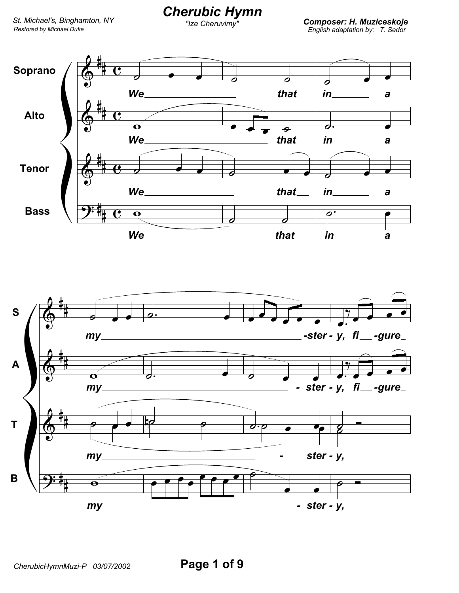## **Cherubic Hymn**

"Ize Cheruvimy"

**Composer: H. Muziceskoje**<br>English adaptation by: T. Sedor



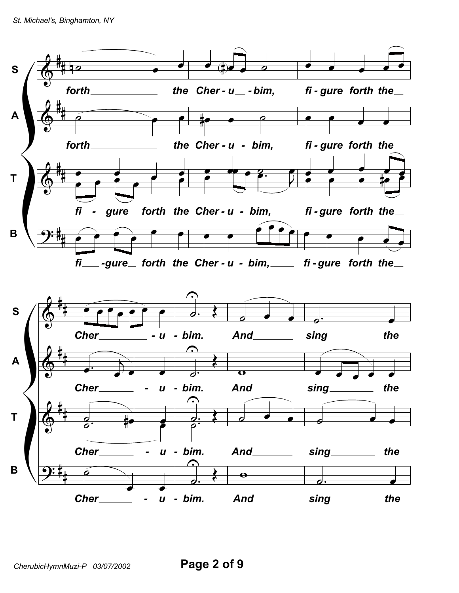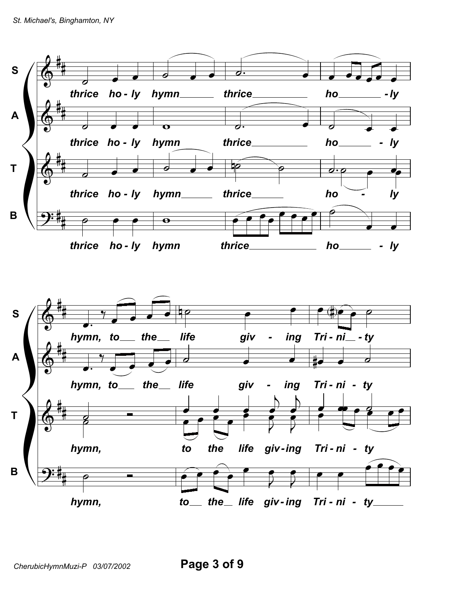

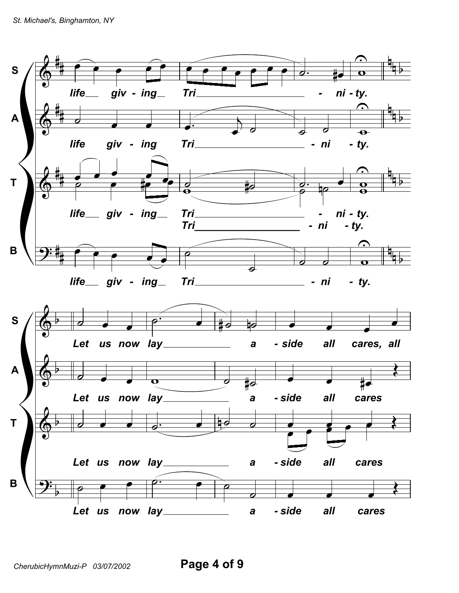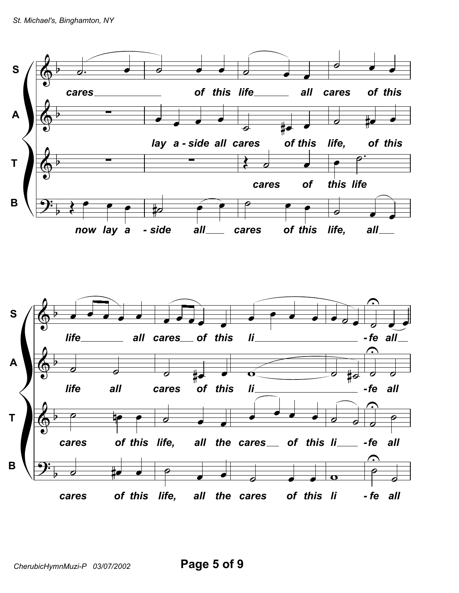

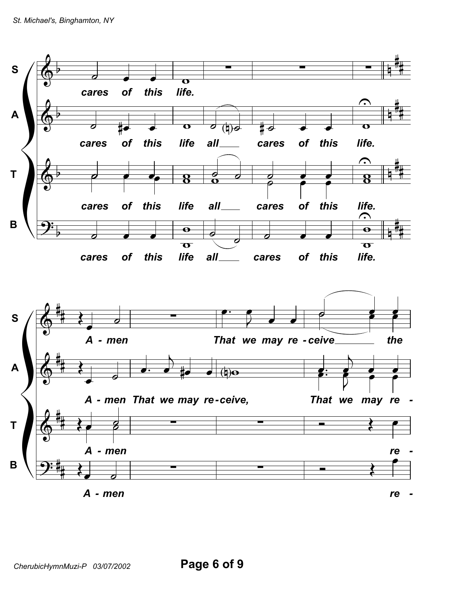

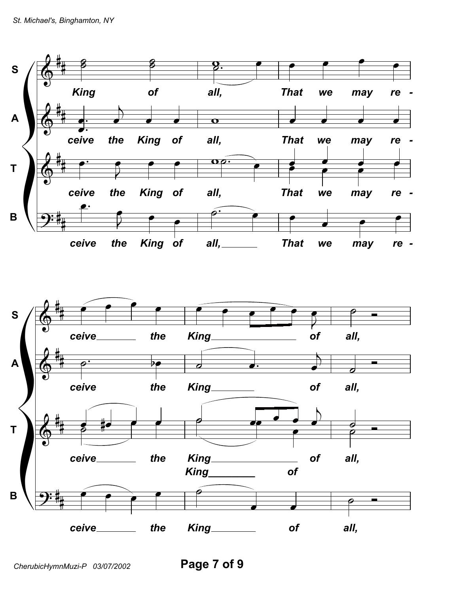

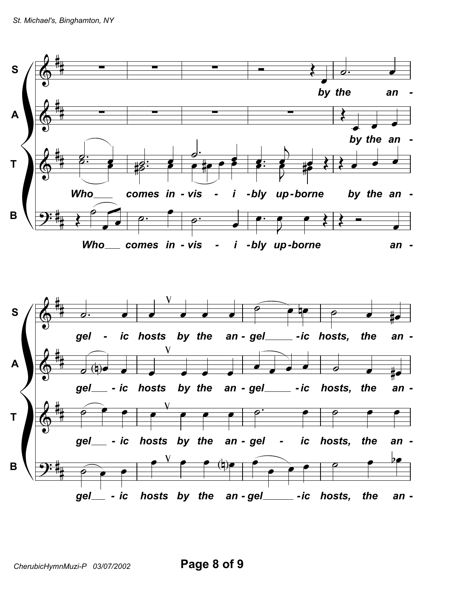